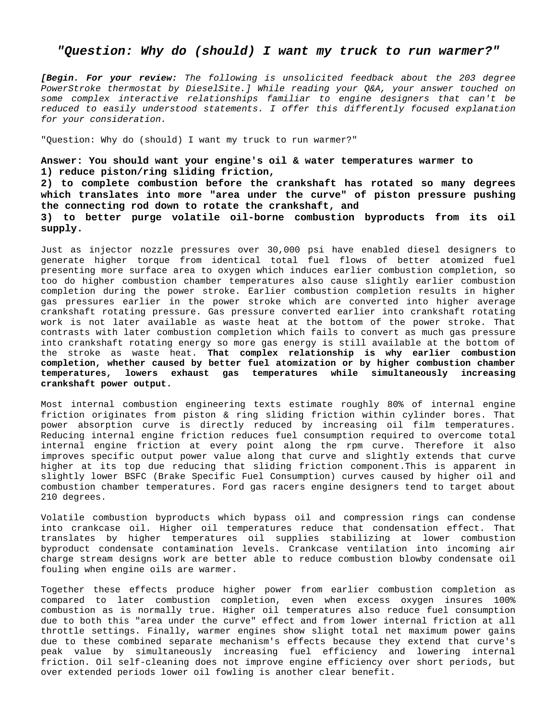## *"Question: Why do (should) I want my truck to run warmer?"*

*[Begin. For your review: The following is unsolicited feedback about the 203 degree PowerStroke thermostat by DieselSite.] While reading your Q&A, your answer touched on some complex interactive relationships familiar to engine designers that can't be reduced to easily understood statements. I offer this differently focused explanation for your consideration.* 

"Question: Why do (should) I want my truck to run warmer?"

**supply.** 

**Answer: You should want your engine's oil & water temperatures warmer to 1) reduce piston/ring sliding friction,** 

**2) to complete combustion before the crankshaft has rotated so many degrees which translates into more "area under the curve" of piston pressure pushing the connecting rod down to rotate the crankshaft, and 3) to better purge volatile oil-borne combustion byproducts from its oil** 

Just as injector nozzle pressures over 30,000 psi have enabled diesel designers to generate higher torque from identical total fuel flows of better atomized fuel presenting more surface area to oxygen which induces earlier combustion completion, so too do higher combustion chamber temperatures also cause slightly earlier combustion completion during the power stroke. Earlier combustion completion results in higher gas pressures earlier in the power stroke which are converted into higher average crankshaft rotating pressure. Gas pressure converted earlier into crankshaft rotating work is not later available as waste heat at the bottom of the power stroke. That contrasts with later combustion completion which fails to convert as much gas pressure into crankshaft rotating energy so more gas energy is still available at the bottom of the stroke as waste heat. **That complex relationship is why earlier combustion completion, whether caused by better fuel atomization or by higher combustion chamber temperatures, lowers exhaust gas temperatures while simultaneously increasing crankshaft power output.** 

Most internal combustion engineering texts estimate roughly 80% of internal engine friction originates from piston & ring sliding friction within cylinder bores. That power absorption curve is directly reduced by increasing oil film temperatures. Reducing internal engine friction reduces fuel consumption required to overcome total internal engine friction at every point along the rpm curve. Therefore it also improves specific output power value along that curve and slightly extends that curve higher at its top due reducing that sliding friction component.This is apparent in slightly lower BSFC (Brake Specific Fuel Consumption) curves caused by higher oil and combustion chamber temperatures. Ford gas racers engine designers tend to target about 210 degrees.

Volatile combustion byproducts which bypass oil and compression rings can condense into crankcase oil. Higher oil temperatures reduce that condensation effect. That translates by higher temperatures oil supplies stabilizing at lower combustion byproduct condensate contamination levels. Crankcase ventilation into incoming air charge stream designs work are better able to reduce combustion blowby condensate oil fouling when engine oils are warmer.

Together these effects produce higher power from earlier combustion completion as compared to later combustion completion, even when excess oxygen insures 100% combustion as is normally true. Higher oil temperatures also reduce fuel consumption due to both this "area under the curve" effect and from lower internal friction at all throttle settings. Finally, warmer engines show slight total net maximum power gains due to these combined separate mechanism's effects because they extend that curve's peak value by simultaneously increasing fuel efficiency and lowering internal friction. Oil self-cleaning does not improve engine efficiency over short periods, but over extended periods lower oil fowling is another clear benefit.